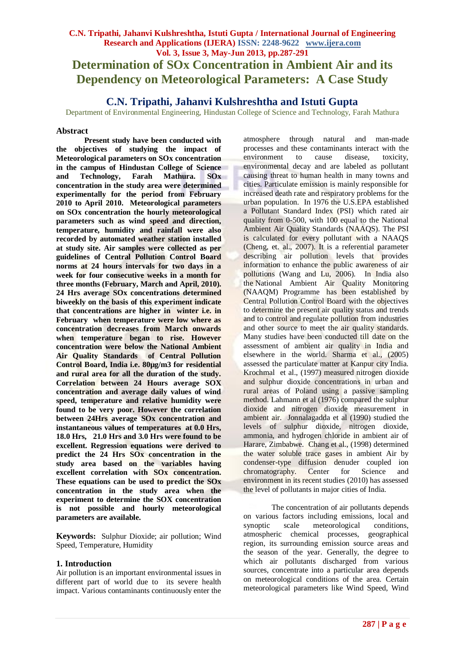# **C.N. Tripathi, Jahanvi Kulshreshtha, Istuti Gupta / International Journal of Engineering Research and Applications (IJERA) ISSN: 2248-9622 www.ijera.com Vol. 3, Issue 3, May-Jun 2013, pp.287-291 Determination of SOx Concentration in Ambient Air and its Dependency on Meteorological Parameters: A Case Study**

# **C.N. Tripathi, Jahanvi Kulshreshtha and Istuti Gupta**

Department of Environmental Engineering, Hindustan College of Science and Technology, Farah Mathura

## **Abstract**

**Present study have been conducted with the objectives of studying the impact of Meteorological parameters on SOx concentration in the campus of Hindustan College of Science and Technology, Farah Mathura. SOx concentration in the study area were determined experimentally for the period from February 2010 to April 2010. Meteorological parameters on SOx concentration the hourly meteorological parameters such as wind speed and direction, temperature, humidity and rainfall were also recorded by automated weather station installed at study site. Air samples were collected as per guidelines of Central Pollution Control Board norms at 24 hours intervals for two days in a week for four consecutive weeks in a month for three months (February, March and April, 2010). 24 Hrs average SOx concentrations determined biweekly on the basis of this experiment indicate that concentrations are higher in winter i.e. in February when temperature were low where as concentration decreases from March onwards when temperature began to rise. However concentration were below the National Ambient Air Quality Standards of Central Pollution Control Board, India i.e. 80µg/m3 for residential and rural area for all the duration of the study. Correlation between 24 Hours average SOX concentration and average daily values of wind speed, temperature and relative humidity were found to be very poor. However the correlation between 24Hrs average SOx concentration and instantaneous values of temperatures at 0.0 Hrs, 18.0 Hrs, 21.0 Hrs and 3.0 Hrs were found to be excellent. Regression equations were derived to predict the 24 Hrs SOx concentration in the study area based on the variables having excellent correlation with SOx concentration. These equations can be used to predict the SOx concentration in the study area when the experiment to determine the SOX concentration is not possible and hourly meteorological parameters are available.**

**Keywords:** Sulphur Dioxide; air pollution; Wind Speed, Temperature, Humidity

## **1. Introduction**

Air pollution is an important environmental issues in different part of world due to its severe health impact. Various contaminants continuously enter the atmosphere through natural and man-made processes and these contaminants interact with the environment to cause disease, toxicity, environmental decay and are labeled as pollutant causing threat to human health in many towns and cities. Particulate emission is mainly responsible for increased death rate and respiratory problems for the urban population. In 1976 the U.S.EPA established a Pollutant Standard Index (PSI) which rated air quality from 0-500, with 100 equal to the National Ambient Air Quality Standards (NAAQS). The PSI is calculated for every pollutant with a NAAQS (Cheng, et. al., 2007). It is a referential parameter describing air pollution levels that provides information to enhance the public awareness of air pollutions (Wang and Lu, 2006). In India also the [National Ambient Air Quality Monitoring](http://envfor.nic.in/cpcb/aaq/aaq.html)  [\(NAAQM\) Programme](http://envfor.nic.in/cpcb/aaq/aaq.html) has been established by Central Pollution Control Board with the objectives to determine the present air quality status and trends and to control and regulate pollution from industries and other source to meet the air quality standards. Many studies have been conducted till date on the assessment of ambient air quality in India and elsewhere in the world. Sharma et al., (2005) assessed the particulate matter at Kanpur city India. Krochmal et al., (1997) measured nitrogen dioxide and sulphur dioxide concentrations in urban and rural areas of Poland using a passive sampling method. Lahmann et al (1976) compared the sulphur dioxide and nitrogen dioxide measurement in ambient air. Jonnalagadda et al (1990) studied the levels of sulphur dioxide, nitrogen dioxide, ammonia, and hydrogen chloride in ambient air of Harare, Zimbabwe. Chang et al., (1998) determined the water soluble trace gases in ambient Air by condenser-type diffusion denuder coupled ion chromatography. Center for Science and environment in its recent studies (2010) has assessed the level of pollutants in major cities of India.

The concentration of air pollutants depends on various factors including emissions, local and synoptic scale meteorological conditions, atmospheric chemical processes, geographical region, its surrounding emission source areas and the season of the year. Generally, the degree to which air pollutants discharged from various sources, concentrate into a particular area depends on meteorological conditions of the area. Certain meteorological parameters like Wind Speed, Wind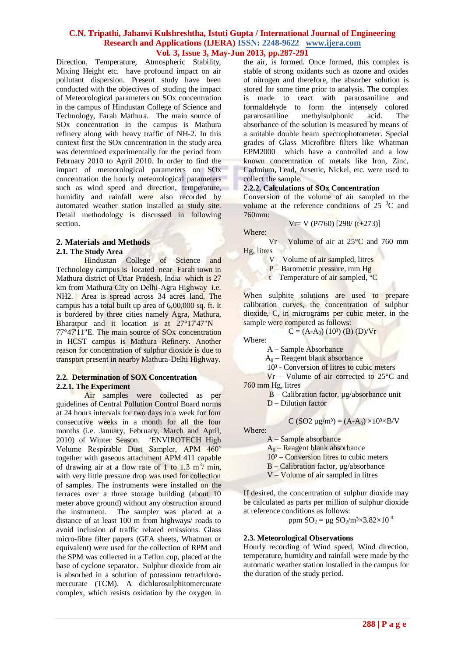Direction, Temperature, Atmospheric Stability, Mixing Height etc. have profound impact on air pollutant dispersion. Present study have been conducted with the objectives of studing the impact of Meteorological parameters on SOx concentration in the campus of Hindustan College of Science and Technology, Farah Mathura. The main source of SOx concentration in the campus is Mathura refinery along with heavy traffic of NH-2. In this context first the SOx concentration in the study area was determined experimentally for the period from February 2010 to April 2010. In order to find the impact of meteorological parameters on SOx concentration the hourly meteorological parameters such as wind speed and direction, temperature, humidity and rainfall were also recorded by automated weather station installed at study site. Detail methodology is discussed in following section.

## **2. Materials and Methods**

## **2.1. The Study Area**

Hindustan College of Science and Technology campus is located near Farah town in Mathura district of Uttar Pradesh, India which is 27 km from Mathura City on Delhi-Agra Highway i.e. NH2. Area is spread across 34 acres land, The campus has a total built up area of 6,00,000 sq. ft. It is bordered by three cities namely Agra, Mathura, Bharatpur and it location is at 27°17'47"N 77°47'11"E. The main source of SOx concentration in HCST campus is Mathura Refinery. Another reason for concentration of sulphur dioxide is due to transport present in nearby Mathura-Delhi Highway.

#### **2.2. Determination of SOX Concentration 2.2.1. The Experiment**

Air samples were collected as per guidelines of Central Pollution Control Board norms at 24 hours intervals for two days in a week for four consecutive weeks in a month for all the four months (i.e. January, February, March and April, 2010) of Winter Season. 'ENVIROTECH High Volume Respirable Dust Sampler, APM 460' together with gaseous attachment APM 411 capable of drawing air at a flow rate of 1 to 1.3 m<sup>3</sup>/ min, with very little pressure drop was used for collection of samples. The instruments were installed on the terraces over a three storage building (about 10 meter above ground) without any obstruction around the instrument. The sampler was placed at a distance of at least 100 m from highways/ roads to avoid inclusion of traffic related emissions. Glass micro-fibre filter papers (GFA sheets, Whatman or equivalent) were used for the collection of RPM and the SPM was collected in a Teflon cup, placed at the base of cyclone separator. Sulphur dioxide from air is absorbed in a solution of potassium tetrachloromercurate (TCM). A dichlorosulphitomercurate complex, which resists oxidation by the oxygen in

the air, is formed. Once formed, this complex is stable of strong oxidants such as ozone and oxides of nitrogen and therefore, the absorber solution is stored for some time prior to analysis. The complex is made to react with pararosaniline and formaldehyde to form the intensely colored pararosaniline methylsulphonic acid. The absorbance of the solution is measured by means of a suitable double beam spectrophotometer. Special grades of Glass Microfibre filters like Whatman EPM2000 which have a controlled and a low known concentration of metals like Iron, Zinc, Cadmium, Lead, Arsenic, Nickel, etc. were used to collect the sample.

## **2.2.2. Calculations of SOx Concentration**

Conversion of the volume of air sampled to the volume at the reference conditions of  $25\degree C$  and 760mm:

$$
Vr = V (P/760) [298/(t+273)]
$$

 $Vr - Volume of air at 25°C$  and 760 mm Hg, litres

V – Volume of air sampled, litres

P – Barometric pressure, mm Hg

 $t$  – Temperature of air sampled,  ${}^{\circ}C$ 

When sulphite solutions are used to prepare calibration curves, the concentration of sulphur dioxide, C, in micrograms per cubic meter, in the sample were computed as follows:

$$
C = (A-A0)(103)(B)(D)/Vr
$$

Where:

Where:

A – Sample Absorbance

 $A_0$  – Reagent blank absorbance

10³ - Conversion of litres to cubic meters

 Vr – Volume of air corrected to 25°C and 760 mm Hg, litres

 $B -$ Calibration factor,  $\mu$ g/absorbance unit

D – Dilution factor

$$
C (SO2 \mu g/m^3) = (A-A_0) \times 10^3 \times B/V
$$

Where:

 A – Sample absorbance  $A_0$  – Reagent blank absorbance

 $10<sup>3</sup>$  – Conversion litres to cubic meters

B – Calibration factor, µg/absorbance

V – Volume of air sampled in litres

If desired, the concentration of sulphur dioxide may

be calculated as parts per million of sulphur dioxide at reference conditions as follows:

ppm  $SO_2 = \mu g SO_2/m^3 \times 3.82 \times 10^{-4}$ 

## **2.3. Meteorological Observations**

Hourly recording of Wind speed, Wind direction, temperature, humidity and rainfall were made by the automatic weather station installed in the campus for the duration of the study period.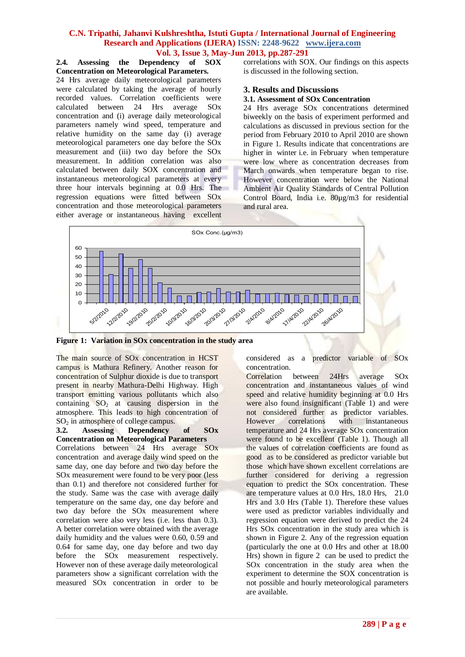#### **2.4. Assessing the Dependency of SOX Concentration on Meteorological Parameters.**

24 Hrs average daily meteorological parameters were calculated by taking the average of hourly recorded values. Correlation coefficients were calculated between 24 Hrs average SOx concentration and (i) average daily meteorological parameters namely wind speed, temperature and relative humidity on the same day (i) average meteorological parameters one day before the SOx measurement and (iii) two day before the SOx measurement. In addition correlation was also calculated between daily SOX concentration and instantaneous meteorological parameters at every three hour intervals beginning at 0.0 Hrs. The regression equations were fitted between SOx concentration and those meteorological parameters either average or instantaneous having excellent

correlations with SOX. Our findings on this aspects is discussed in the following section.

## **3. Results and Discussions**

## **3.1. Assessment of SOx Concentration**

24 Hrs average SOx concentrations determined biweekly on the basis of experiment performed and calculations as discussed in previous section for the period from February 2010 to April 2010 are shown in Figure 1. Results indicate that concentrations are higher in winter i.e. in February when temperature were low where as concentration decreases from March onwards when temperature began to rise. However concentration were below the National Ambient Air Quality Standards of Central Pollution Control Board, India i.e. 80µg/m3 for residential and rural area.



**Figure 1: Variation in SOx concentration in the study area**

The main source of SOx concentration in HCST campus is Mathura Refinery. Another reason for concentration of Sulphur dioxide is due to transport present in nearby Mathura-Delhi Highway. High transport emitting various pollutants which also containing  $SO_2$  at causing dispersion in the atmosphere. This leads to high concentration of

#### $SO<sub>2</sub>$  in atmosphere of college campus.<br>3.2. Assessing Dependency **Dependency of SOx Concentration on Meteorological Parameters**

Correlations between 24 Hrs average SOx concentration and average daily wind speed on the same day, one day before and two day before the SOx measurement were found to be very poor (less than 0.1) and therefore not considered further for the study. Same was the case with average daily temperature on the same day, one day before and two day before the SOx measurement where correlation were also very less (i.e. less than 0.3). A better correlation were obtained with the average daily humidity and the values were 0.60, 0.59 and 0.64 for same day, one day before and two day before the SOx measurement respectively. However non of these average daily meteorological parameters show a significant correlation with the measured SOx concentration in order to be

considered as a predictor variable of SOx concentration.

Correlation between 24Hrs average SOx concentration and instantaneous values of wind speed and relative humidity beginning at 0.0 Hrs were also found insignificant (Table 1) and were not considered further as predictor variables.<br>However correlations with instantaneous However correlations with instantaneous temperature and 24 Hrs average SOx concentration were found to be excellent (Table 1). Though all the values of correlation coefficients are found as good as to be considered as predictor variable but those which have shown excellent correlations are further considered for deriving a regression equation to predict the SOx concentration. These are temperature values at 0.0 Hrs, 18.0 Hrs, 21.0 Hrs and 3.0 Hrs (Table 1). Therefore these values were used as predictor variables individually and regression equation were derived to predict the 24 Hrs SOx concentration in the study area which is shown in Figure 2. Any of the regression equation (particularly the one at 0.0 Hrs and other at 18.00 Hrs) shown in figure 2 can be used to predict the SOx concentration in the study area when the experiment to determine the SOX concentration is not possible and hourly meteorological parameters are available.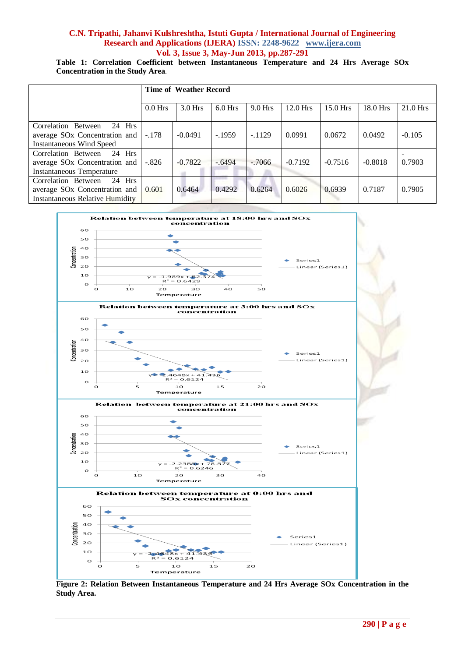## **Table 1: Correlation Coefficient between Instantaneous Temperature and 24 Hrs Average SOx Concentration in the Study Area**.

|                                                                                                                        | <b>Time of Weather Record</b> |           |           |           |           |            |           |            |
|------------------------------------------------------------------------------------------------------------------------|-------------------------------|-----------|-----------|-----------|-----------|------------|-----------|------------|
|                                                                                                                        | $0.0$ Hrs                     | $3.0$ Hrs | $6.0$ Hrs | $9.0$ Hrs | 12.0 Hrs  | $15.0$ Hrs | 18.0 Hrs  | $21.0$ Hrs |
| Correlation Between<br>$24$ Hrs<br>average SO <sub>x</sub> Concentration and<br><b>Instantaneous Wind Speed</b>        | $-.178$                       | $-0.0491$ | $-1959$   | $-.1129$  | 0.0991    | 0.0672     | 0.0492    | $-0.105$   |
| Correlation Between<br>$24$ Hrs<br>average SO <sub>x</sub> Concentration and<br><b>Instantaneous Temperature</b>       | $-.826$                       | $-0.7822$ | $-.6494$  | $-.7066$  | $-0.7192$ | $-0.7516$  | $-0.8018$ | 0.7903     |
| Correlation Between<br>$24$ Hrs<br>average SO <sub>x</sub> Concentration and<br><b>Instantaneous Relative Humidity</b> | 0.601                         | 0.6464    | 0.4292    | 0.6264    | 0.6026    | 0.6939     | 0.7187    | 0.7905     |



**Figure 2: Relation Between Instantaneous Temperature and 24 Hrs Average SOx Concentration in the Study Area.**